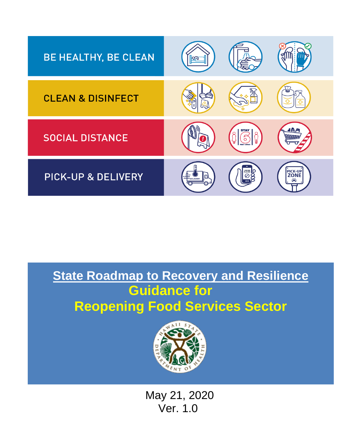

# **State Roadmap to Recovery and Resilience Guidance for Reopening Food Services Sector**



 May 21, 2020 Ver. 1.0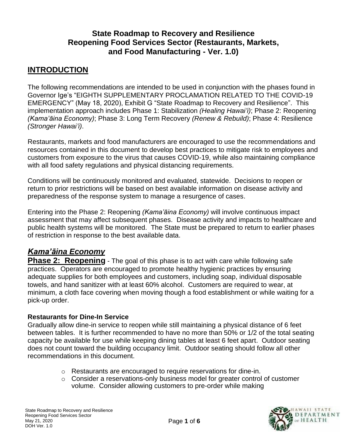## **State Roadmap to Recovery and Resilience Reopening Food Services Sector (Restaurants, Markets, and Food Manufacturing - Ver. 1.0)**

## **INTRODUCTION**

The following recommendations are intended to be used in conjunction with the phases found in Governor Ige's "EIGHTH SUPPLEMENTARY PROCLAMATION RELATED TO THE COVID-19 EMERGENCY" (May 18, 2020), Exhibit G "State Roadmap to Recovery and Resilience". This implementation approach includes Phase 1: Stabilization *(Healing Hawai'i)*; Phase 2: Reopening *(Kama'āina Economy)*; Phase 3: Long Term Recovery *(Renew & Rebuild)*; Phase 4: Resilience *(Stronger Hawai'i)*.

Restaurants, markets and food manufacturers are encouraged to use the recommendations and resources contained in this document to develop best practices to mitigate risk to employees and customers from exposure to the virus that causes COVID-19, while also maintaining compliance with all food safety regulations and physical distancing requirements.

Conditions will be continuously monitored and evaluated, statewide. Decisions to reopen or return to prior restrictions will be based on best available information on disease activity and preparedness of the response system to manage a resurgence of cases.

Entering into the Phase 2: Reopening *(Kama'āina Economy)* will involve continuous impact assessment that may affect subsequent phases. Disease activity and impacts to healthcare and public health systems will be monitored. The State must be prepared to return to earlier phases of restriction in response to the best available data.

## *Kama'āina Economy*

**Phase 2: Reopening** - The goal of this phase is to act with care while following safe practices. Operators are encouraged to promote healthy hygienic practices by ensuring adequate supplies for both employees and customers, including soap, individual disposable towels, and hand sanitizer with at least 60% alcohol. Customers are required to wear, at minimum, a cloth face covering when moving though a food establishment or while waiting for a pick-up order.

#### **Restaurants for Dine-In Service**

Gradually allow dine-in service to reopen while still maintaining a physical distance of 6 feet between tables. It is further recommended to have no more than 50% or 1/2 of the total seating capacity be available for use while keeping dining tables at least 6 feet apart. Outdoor seating does not count toward the building occupancy limit. Outdoor seating should follow all other recommendations in this document.

- o Restaurants are encouraged to require reservations for dine-in.
- o Consider a reservations-only business model for greater control of customer volume. Consider allowing customers to pre-order while making

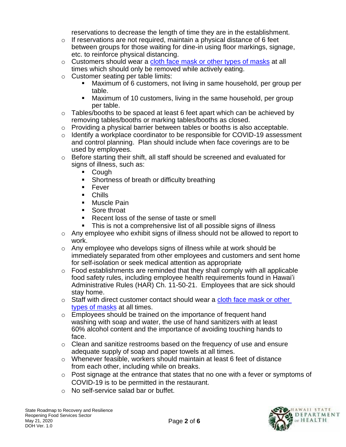reservations to decrease the length of time they are in the establishment.

- $\circ$  If reservations are not required, maintain a physical distance of 6 feet between groups for those waiting for dine-in using floor markings, signage, etc. to reinforce physical distancing.
- o Customers should wear a [cloth face mask or other types of masks](https://www.fda.gov/media/137327/download) at all times which should only be removed while actively eating.
- o Customer seating per table limits:
	- Maximum of 6 customers, not living in same household, per group per table.
	- **E** Maximum of 10 customers, living in the same household, per group per table.
- $\circ$  Tables/booths to be spaced at least 6 feet apart which can be achieved by removing tables/booths or marking tables/booths as closed.
- o Providing a physical barrier between tables or booths is also acceptable.
- o Identify a workplace coordinator to be responsible for COVID-19 assessment and control planning. Plan should include when face coverings are to be used by employees.
- $\circ$  Before starting their shift, all staff should be screened and evaluated for signs of illness, such as:
	- Cough
	- Shortness of breath or difficulty breathing
	- Fever
	- Chills
	- Muscle Pain
	- Sore throat
	- Recent loss of the sense of taste or smell
	- This is not a comprehensive list of all possible signs of illness
- o Any employee who exhibit signs of illness should not be allowed to report to work.
- o Any employee who develops signs of illness while at work should be immediately separated from other employees and customers and sent home for self-isolation or seek medical attention as appropriate
- $\circ$  Food establishments are reminded that they shall comply with all applicable food safety rules, including employee health requirements found in Hawai'i Administrative Rules (HAR) Ch. 11-50-21. Employees that are sick should stay home.
- o Staff with direct customer contact should wear a cloth face mask or other [types of masks](https://www.fda.gov/media/137327/download) at all times.
- o Employees should be trained on the importance of frequent hand washing with soap and water, the use of hand sanitizers with at least 60% alcohol content and the importance of avoiding touching hands to face.
- o Clean and sanitize restrooms based on the frequency of use and ensure adequate supply of soap and paper towels at all times.
- o Whenever feasible, workers should maintain at least 6 feet of distance from each other, including while on breaks.
- o Post signage at the entrance that states that no one with a fever or symptoms of COVID-19 is to be permitted in the restaurant.
- o No self-service salad bar or buffet.

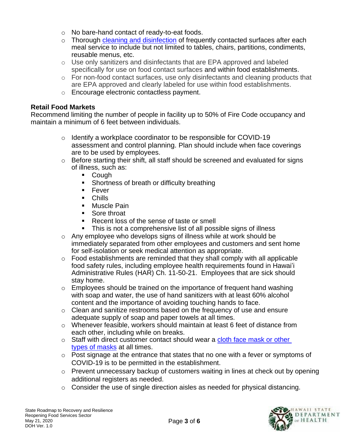- o No bare-hand contact of ready-to-eat foods.
- $\circ$  Thorough [cleaning and disinfection](https://www.cdc.gov/coronavirus/2019-ncov/community/disinfecting-building-facility.html) of frequently contacted surfaces after each meal service to include but not limited to tables, chairs, partitions, condiments, reusable menus, etc.
- o Use only sanitizers and disinfectants that are EPA approved and labeled specifically for use on food contact surfaces and within food establishments.
- o For non-food contact surfaces, use only disinfectants and cleaning products that are EPA approved and clearly labeled for use within food establishments.
- o Encourage electronic contactless payment.

#### **Retail Food Markets**

Recommend limiting the number of people in facility up to 50% of Fire Code occupancy and maintain a minimum of 6 feet between individuals.

- o Identify a workplace coordinator to be responsible for COVID-19 assessment and control planning. Plan should include when face coverings are to be used by employees.
- $\circ$  Before starting their shift, all staff should be screened and evaluated for signs of illness, such as:
	- Cough
	- Shortness of breath or difficulty breathing
	- Fever
	- Chills
	- Muscle Pain
	- Sore throat
	- Recent loss of the sense of taste or smell
	- This is not a comprehensive list of all possible signs of illness
- o Any employee who develops signs of illness while at work should be immediately separated from other employees and customers and sent home for self-isolation or seek medical attention as appropriate.
- $\circ$  Food establishments are reminded that they shall comply with all applicable food safety rules, including employee health requirements found in Hawai'i Administrative Rules (HAR) Ch. 11-50-21. Employees that are sick should stay home.
- $\circ$  Employees should be trained on the importance of frequent hand washing with soap and water, the use of hand sanitizers with at least 60% alcohol content and the importance of avoiding touching hands to face.
- o Clean and sanitize restrooms based on the frequency of use and ensure adequate supply of soap and paper towels at all times.
- $\circ$  Whenever feasible, workers should maintain at least 6 feet of distance from each other, including while on breaks.
- o Staff with direct customer contact should wear a cloth face mask or other [types of masks](https://www.fda.gov/media/137327/download) at all times.
- o Post signage at the entrance that states that no one with a fever or symptoms of COVID-19 is to be permitted in the establishment.
- o Prevent unnecessary backup of customers waiting in lines at check out by opening additional registers as needed.
- $\circ$  Consider the use of single direction aisles as needed for physical distancing.

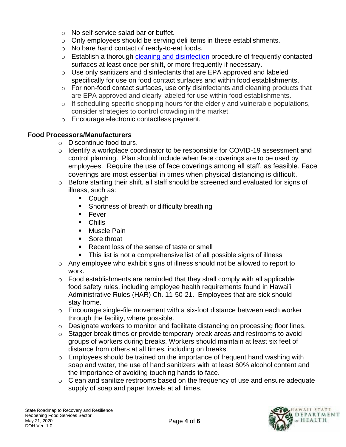- o No self-service salad bar or buffet.
- o Only employees should be serving deli items in these establishments.
- o No bare hand contact of ready-to-eat foods.
- o Establish a thorough [cleaning and disinfection](https://www.cdc.gov/coronavirus/2019-ncov/community/disinfecting-building-facility.html) procedure of frequently contacted surfaces at least once per shift, or more frequently if necessary.
- $\circ$  Use only sanitizers and disinfectants that are EPA approved and labeled specifically for use on food contact surfaces and within food establishments.
- $\circ$  For non-food contact surfaces, use only disinfectants and cleaning products that are EPA approved and clearly labeled for use within food establishments.
- $\circ$  If scheduling specific shopping hours for the elderly and vulnerable populations, consider strategies to control crowding in the market.
- o Encourage electronic contactless payment.

#### **Food Processors/Manufacturers**

- o Discontinue food tours.
- $\circ$  Identify a workplace coordinator to be responsible for COVID-19 assessment and control planning. Plan should include when face coverings are to be used by employees. Require the use of face coverings among all staff, as feasible. Face coverings are most essential in times when physical distancing is difficult.
- o Before starting their shift, all staff should be screened and evaluated for signs of illness, such as:
	- Cough
	- Shortness of breath or difficulty breathing
	- Fever
	- Chills
	- Muscle Pain
	- Sore throat
	- Recent loss of the sense of taste or smell
	- This list is not a comprehensive list of all possible signs of illness
- $\circ$  Any employee who exhibit signs of illness should not be allowed to report to work.
- $\circ$  Food establishments are reminded that they shall comply with all applicable food safety rules, including employee health requirements found in Hawai'i Administrative Rules (HAR) Ch. 11-50-21. Employees that are sick should stay home.
- o Encourage single-file movement with a six-foot distance between each worker through the facility, where possible.
- o Designate workers to monitor and facilitate distancing on processing floor lines.
- o Stagger break times or provide temporary break areas and restrooms to avoid groups of workers during breaks. Workers should maintain at least six feet of distance from others at all times, including on breaks.
- o Employees should be trained on the importance of frequent hand washing with soap and water, the use of hand sanitizers with at least 60% alcohol content and the importance of avoiding touching hands to face.
- o Clean and sanitize restrooms based on the frequency of use and ensure adequate supply of soap and paper towels at all times.

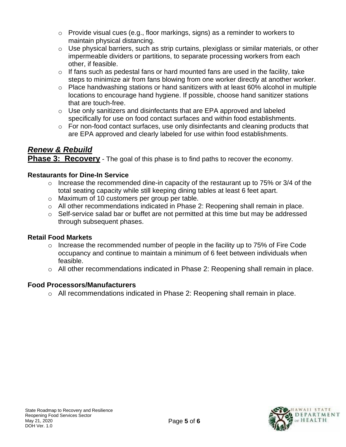- $\circ$  Provide visual cues (e.g., floor markings, signs) as a reminder to workers to maintain physical distancing.
- o Use physical barriers, such as strip curtains, plexiglass or similar materials, or other impermeable dividers or partitions, to separate processing workers from each other, if feasible.
- $\circ$  If fans such as pedestal fans or hard mounted fans are used in the facility, take steps to minimize air from fans blowing from one worker directly at another worker.
- $\circ$  Place handwashing stations or hand sanitizers with at least 60% alcohol in multiple locations to encourage hand hygiene. If possible, choose hand sanitizer stations that are touch-free.
- $\circ$  Use only sanitizers and disinfectants that are EPA approved and labeled specifically for use on food contact surfaces and within food establishments.
- o For non-food contact surfaces, use only disinfectants and cleaning products that are EPA approved and clearly labeled for use within food establishments.

# *Renew & Rebuild*

**Phase 3: Recovery** - The goal of this phase is to find paths to recover the economy.

#### **Restaurants for Dine-In Service**

- $\circ$  Increase the recommended dine-in capacity of the restaurant up to 75% or 3/4 of the total seating capacity while still keeping dining tables at least 6 feet apart.
- o Maximum of 10 customers per group per table.
- o All other recommendations indicated in Phase 2: Reopening shall remain in place.
- o Self-service salad bar or buffet are not permitted at this time but may be addressed through subsequent phases.

#### **Retail Food Markets**

- o Increase the recommended number of people in the facility up to 75% of Fire Code occupancy and continue to maintain a minimum of 6 feet between individuals when feasible.
- o All other recommendations indicated in Phase 2: Reopening shall remain in place.

## **Food Processors/Manufacturers**

o All recommendations indicated in Phase 2: Reopening shall remain in place.